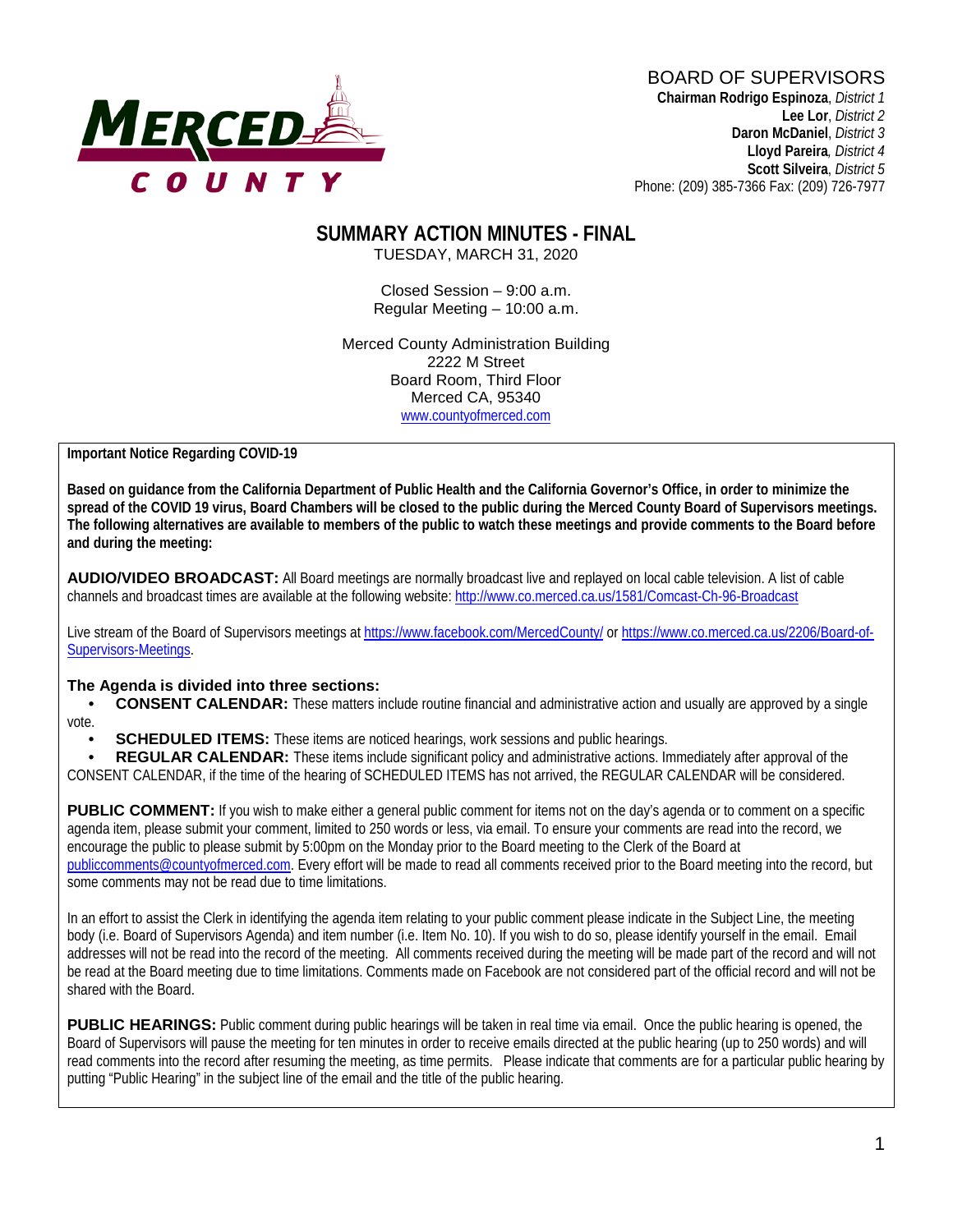

### BOARD OF SUPERVISORS **Chairman Rodrigo Espinoza**, *District 1*

**Lee Lor**, *District 2*  **Daron McDaniel**, *District 3* **Lloyd Pareira***, District 4*  **Scott Silveira**, *District 5* Phone: (209) 385-7366 Fax: (209) 726-7977

# **SUMMARY ACTION MINUTES - FINAL**

TUESDAY, MARCH 31, 2020

Closed Session – 9:00 a.m. Regular Meeting – 10:00 a.m.

Merced County Administration Building 2222 M Street Board Room, Third Floor Merced CA, 95340 www.countyofmerced.com

**Important Notice Regarding COVID-19** 

**Based on guidance from the California Department of Public Health and the California Governor's Office, in order to minimize the spread of the COVID 19 virus, Board Chambers will be closed to the public during the Merced County Board of Supervisors meetings. The following alternatives are available to members of the public to watch these meetings and provide comments to the Board before and during the meeting:**

**AUDIO/VIDEO BROADCAST:** All Board meetings are normally broadcast live and replayed on local cable television. A list of cable channels and broadcast times are available at the following website[: http://www.co.merced.ca.us/1581/Comcast-Ch-96-Broadcast](http://www.co.merced.ca.us/1581/Comcast-Ch-96-Broadcast)

Live stream of the Board of Supervisors meetings at<https://www.facebook.com/MercedCounty/> o[r https://www.co.merced.ca.us/2206/Board-of-](https://www.co.merced.ca.us/2206/Board-of-Supervisors-Meetings)[Supervisors-Meetings.](https://www.co.merced.ca.us/2206/Board-of-Supervisors-Meetings) 

#### **The Agenda is divided into three sections:**

**CONSENT CALENDAR:** These matters include routine financial and administrative action and usually are approved by a single vote.

**SCHEDULED ITEMS:** These items are noticed hearings, work sessions and public hearings.

**REGULAR CALENDAR:** These items include significant policy and administrative actions. Immediately after approval of the CONSENT CALENDAR, if the time of the hearing of SCHEDULED ITEMS has not arrived, the REGULAR CALENDAR will be considered.

**PUBLIC COMMENT:** If you wish to make either a general public comment for items not on the day's agenda or to comment on a specific agenda item, please submit your comment, limited to 250 words or less, via email. To ensure your comments are read into the record, we encourage the public to please submit by 5:00pm on the Monday prior to the Board meeting to the Clerk of the Board at [publiccomments@countyofmerced.com.](mailto:publiccomments@countyofmerced.com) Every effort will be made to read all comments received prior to the Board meeting into the record, but some comments may not be read due to time limitations.

In an effort to assist the Clerk in identifying the agenda item relating to your public comment please indicate in the Subject Line, the meeting body (i.e. Board of Supervisors Agenda) and item number (i.e. Item No. 10). If you wish to do so, please identify yourself in the email. Email addresses will not be read into the record of the meeting. All comments received during the meeting will be made part of the record and will not be read at the Board meeting due to time limitations. Comments made on Facebook are not considered part of the official record and will not be shared with the Board.

**PUBLIC HEARINGS:** Public comment during public hearings will be taken in real time via email. Once the public hearing is opened, the Board of Supervisors will pause the meeting for ten minutes in order to receive emails directed at the public hearing (up to 250 words) and will read comments into the record after resuming the meeting, as time permits. Please indicate that comments are for a particular public hearing by putting "Public Hearing" in the subject line of the email and the title of the public hearing.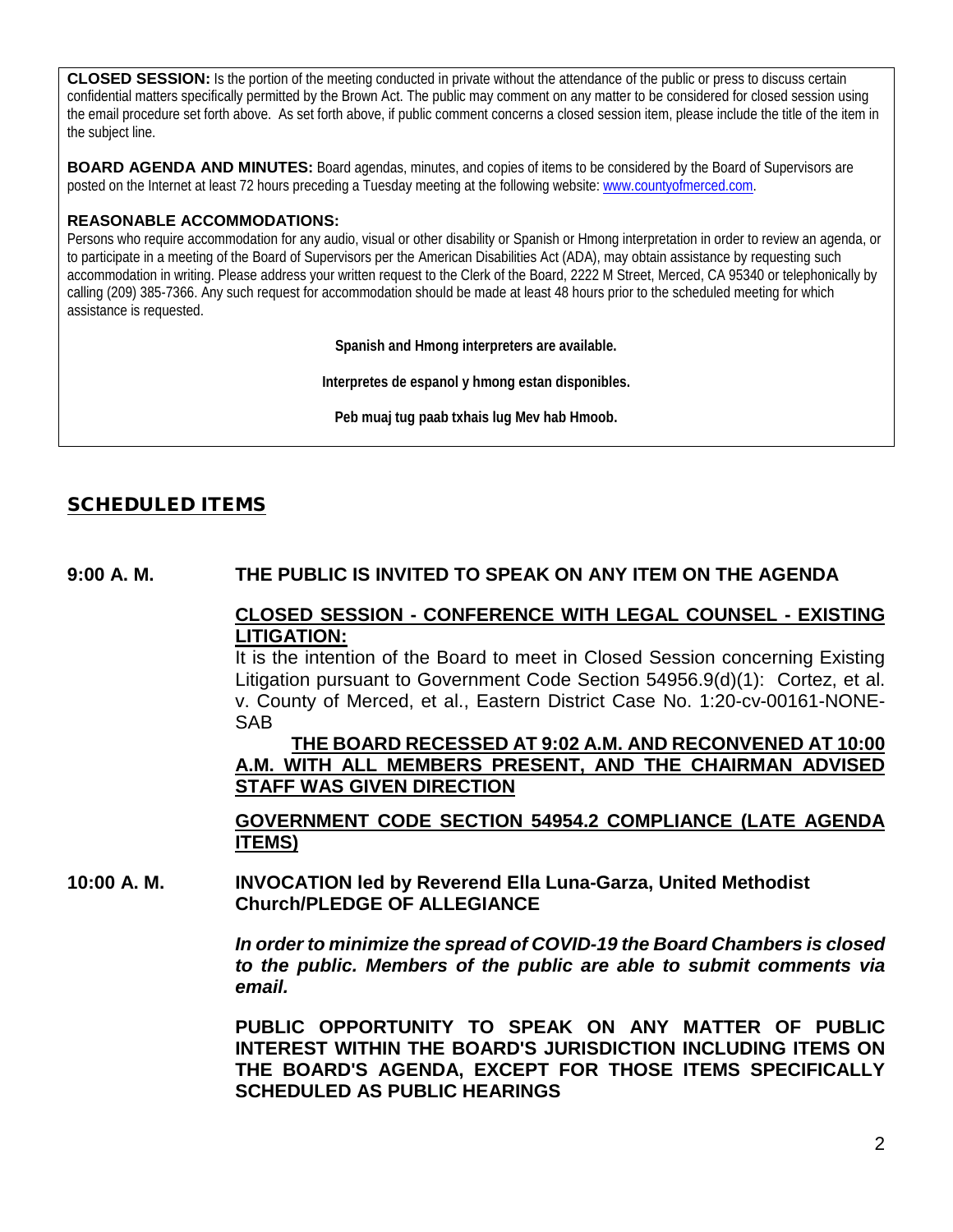**CLOSED SESSION:** Is the portion of the meeting conducted in private without the attendance of the public or press to discuss certain confidential matters specifically permitted by the Brown Act. The public may comment on any matter to be considered for closed session using the email procedure set forth above. As set forth above, if public comment concerns a closed session item, please include the title of the item in the subject line.

**BOARD AGENDA AND MINUTES:** Board agendas, minutes, and copies of items to be considered by the Board of Supervisors are posted on the Internet at least 72 hours preceding a Tuesday meeting at the following website: [www.countyofmerced.com.](http://www.countyofmerced.com/)

#### **REASONABLE ACCOMMODATIONS:**

Persons who require accommodation for any audio, visual or other disability or Spanish or Hmong interpretation in order to review an agenda, or to participate in a meeting of the Board of Supervisors per the American Disabilities Act (ADA), may obtain assistance by requesting such accommodation in writing. Please address your written request to the Clerk of the Board, 2222 M Street, Merced, CA 95340 or telephonically by calling (209) 385-7366. Any such request for accommodation should be made at least 48 hours prior to the scheduled meeting for which assistance is requested.

**Spanish and Hmong interpreters are available.**

**Interpretes de espanol y hmong estan disponibles.**

**Peb muaj tug paab txhais lug Mev hab Hmoob.**

# SCHEDULED ITEMS

#### **9:00 A. M. THE PUBLIC IS INVITED TO SPEAK ON ANY ITEM ON THE AGENDA**

#### **CLOSED SESSION - CONFERENCE WITH LEGAL COUNSEL - EXISTING LITIGATION:**

It is the intention of the Board to meet in Closed Session concerning Existing Litigation pursuant to Government Code Section 54956.9(d)(1): Cortez, et al. v. County of Merced, et al., Eastern District Case No. 1:20-cv-00161-NONE-SAB

**THE BOARD RECESSED AT 9:02 A.M. AND RECONVENED AT 10:00 A.M. WITH ALL MEMBERS PRESENT, AND THE CHAIRMAN ADVISED STAFF WAS GIVEN DIRECTION**

**GOVERNMENT CODE SECTION 54954.2 COMPLIANCE (LATE AGENDA ITEMS)**

#### **10:00 A. M. INVOCATION led by Reverend Ella Luna-Garza, United Methodist Church/PLEDGE OF ALLEGIANCE**

*In order to minimize the spread of COVID-19 the Board Chambers is closed to the public. Members of the public are able to submit comments via email.*

**PUBLIC OPPORTUNITY TO SPEAK ON ANY MATTER OF PUBLIC INTEREST WITHIN THE BOARD'S JURISDICTION INCLUDING ITEMS ON THE BOARD'S AGENDA, EXCEPT FOR THOSE ITEMS SPECIFICALLY SCHEDULED AS PUBLIC HEARINGS**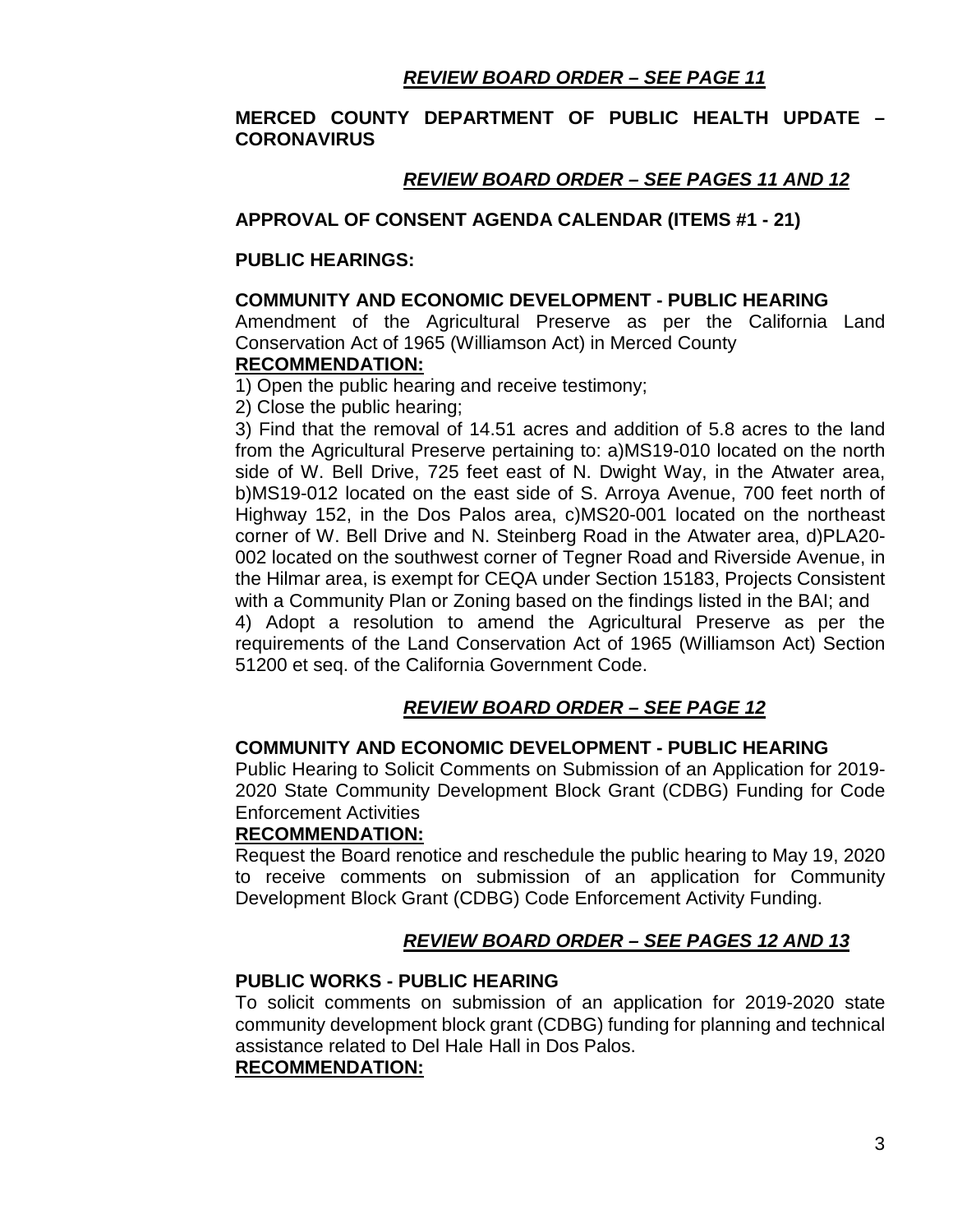#### *REVIEW BOARD ORDER – SEE PAGE 11*

#### **MERCED COUNTY DEPARTMENT OF PUBLIC HEALTH UPDATE – CORONAVIRUS**

### *REVIEW BOARD ORDER – SEE PAGES 11 AND 12*

#### **APPROVAL OF CONSENT AGENDA CALENDAR (ITEMS #1 - 21)**

#### **PUBLIC HEARINGS:**

#### **COMMUNITY AND ECONOMIC DEVELOPMENT - PUBLIC HEARING**

Amendment of the Agricultural Preserve as per the California Land Conservation Act of 1965 (Williamson Act) in Merced County

# **RECOMMENDATION:**

1) Open the public hearing and receive testimony;

2) Close the public hearing;

3) Find that the removal of 14.51 acres and addition of 5.8 acres to the land from the Agricultural Preserve pertaining to: a)MS19-010 located on the north side of W. Bell Drive, 725 feet east of N. Dwight Way, in the Atwater area, b)MS19-012 located on the east side of S. Arroya Avenue, 700 feet north of Highway 152, in the Dos Palos area, c)MS20-001 located on the northeast corner of W. Bell Drive and N. Steinberg Road in the Atwater area, d)PLA20- 002 located on the southwest corner of Tegner Road and Riverside Avenue, in the Hilmar area, is exempt for CEQA under Section 15183, Projects Consistent with a Community Plan or Zoning based on the findings listed in the BAI; and 4) Adopt a resolution to amend the Agricultural Preserve as per the requirements of the Land Conservation Act of 1965 (Williamson Act) Section 51200 et seq. of the California Government Code.

#### *REVIEW BOARD ORDER – SEE PAGE 12*

#### **COMMUNITY AND ECONOMIC DEVELOPMENT - PUBLIC HEARING**

Public Hearing to Solicit Comments on Submission of an Application for 2019- 2020 State Community Development Block Grant (CDBG) Funding for Code Enforcement Activities

#### **RECOMMENDATION:**

Request the Board renotice and reschedule the public hearing to May 19, 2020 to receive comments on submission of an application for Community Development Block Grant (CDBG) Code Enforcement Activity Funding.

# *REVIEW BOARD ORDER – SEE PAGES 12 AND 13*

#### **PUBLIC WORKS - PUBLIC HEARING**

To solicit comments on submission of an application for 2019-2020 state community development block grant (CDBG) funding for planning and technical assistance related to Del Hale Hall in Dos Palos.

#### **RECOMMENDATION:**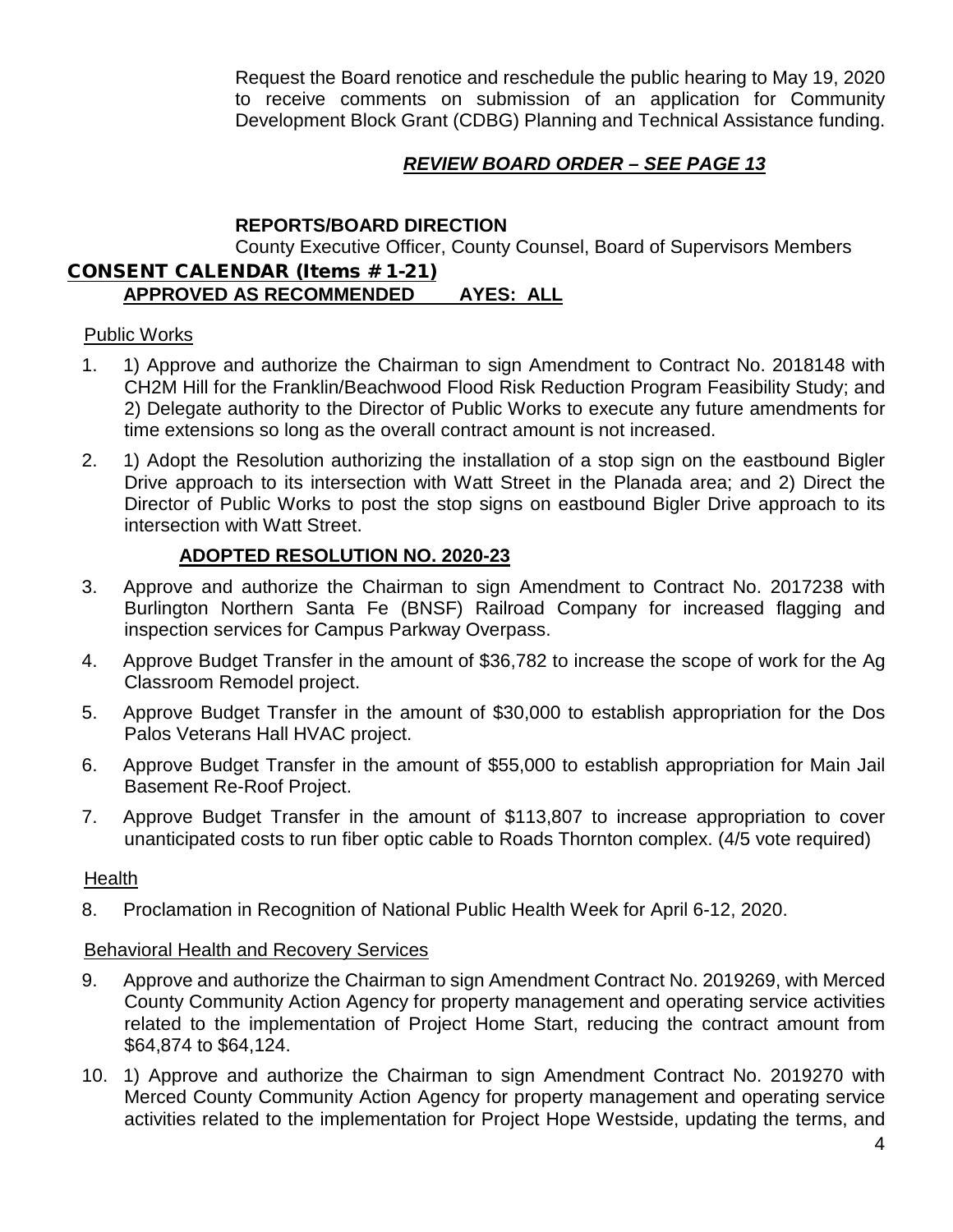Request the Board renotice and reschedule the public hearing to May 19, 2020 to receive comments on submission of an application for Community Development Block Grant (CDBG) Planning and Technical Assistance funding.

# *REVIEW BOARD ORDER – SEE PAGE 13*

# **REPORTS/BOARD DIRECTION**

County Executive Officer, County Counsel, Board of Supervisors Members

# CONSENT CALENDAR (Items # 1-21) **APPROVED AS RECOMMENDED AYES: ALL**

# Public Works

- 1. 1) Approve and authorize the Chairman to sign Amendment to Contract No. 2018148 with CH2M Hill for the Franklin/Beachwood Flood Risk Reduction Program Feasibility Study; and 2) Delegate authority to the Director of Public Works to execute any future amendments for time extensions so long as the overall contract amount is not increased.
- 2. 1) Adopt the Resolution authorizing the installation of a stop sign on the eastbound Bigler Drive approach to its intersection with Watt Street in the Planada area; and 2) Direct the Director of Public Works to post the stop signs on eastbound Bigler Drive approach to its intersection with Watt Street.

# **ADOPTED RESOLUTION NO. 2020-23**

- 3. Approve and authorize the Chairman to sign Amendment to Contract No. 2017238 with Burlington Northern Santa Fe (BNSF) Railroad Company for increased flagging and inspection services for Campus Parkway Overpass.
- 4. Approve Budget Transfer in the amount of \$36,782 to increase the scope of work for the Ag Classroom Remodel project.
- 5. Approve Budget Transfer in the amount of \$30,000 to establish appropriation for the Dos Palos Veterans Hall HVAC project.
- 6. Approve Budget Transfer in the amount of \$55,000 to establish appropriation for Main Jail Basement Re-Roof Project.
- 7. Approve Budget Transfer in the amount of \$113,807 to increase appropriation to cover unanticipated costs to run fiber optic cable to Roads Thornton complex. (4/5 vote required)

# Health

8. Proclamation in Recognition of National Public Health Week for April 6-12, 2020.

#### Behavioral Health and Recovery Services

- 9. Approve and authorize the Chairman to sign Amendment Contract No. 2019269, with Merced County Community Action Agency for property management and operating service activities related to the implementation of Project Home Start, reducing the contract amount from \$64,874 to \$64,124.
- 10. 1) Approve and authorize the Chairman to sign Amendment Contract No. 2019270 with Merced County Community Action Agency for property management and operating service activities related to the implementation for Project Hope Westside, updating the terms, and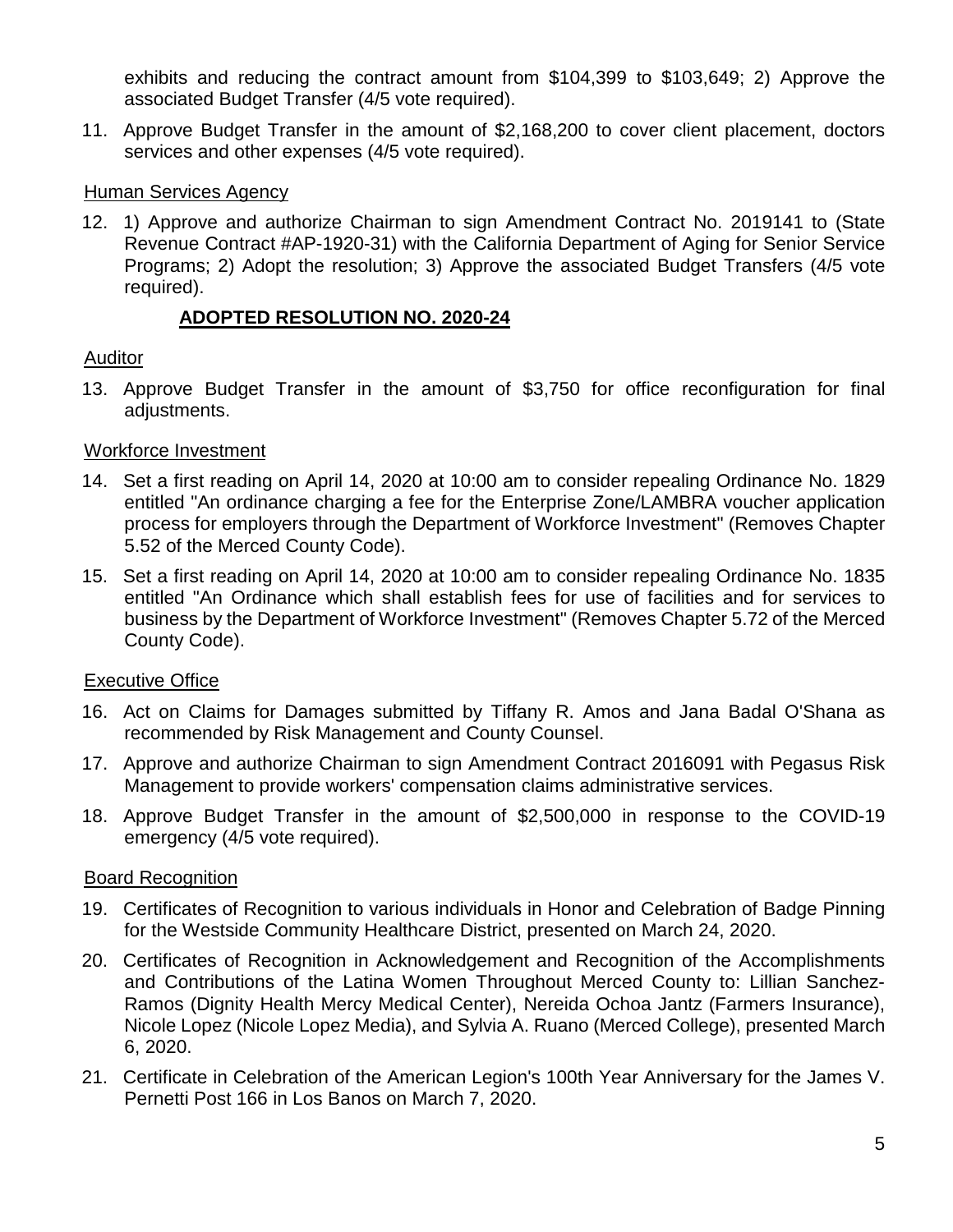exhibits and reducing the contract amount from \$104,399 to \$103,649; 2) Approve the associated Budget Transfer (4/5 vote required).

11. Approve Budget Transfer in the amount of \$2,168,200 to cover client placement, doctors services and other expenses (4/5 vote required).

# Human Services Agency

12. 1) Approve and authorize Chairman to sign Amendment Contract No. 2019141 to (State Revenue Contract #AP-1920-31) with the California Department of Aging for Senior Service Programs; 2) Adopt the resolution; 3) Approve the associated Budget Transfers (4/5 vote required).

# **ADOPTED RESOLUTION NO. 2020-24**

# Auditor

13. Approve Budget Transfer in the amount of \$3,750 for office reconfiguration for final adjustments.

# Workforce Investment

- 14. Set a first reading on April 14, 2020 at 10:00 am to consider repealing Ordinance No. 1829 entitled "An ordinance charging a fee for the Enterprise Zone/LAMBRA voucher application process for employers through the Department of Workforce Investment" (Removes Chapter 5.52 of the Merced County Code).
- 15. Set a first reading on April 14, 2020 at 10:00 am to consider repealing Ordinance No. 1835 entitled "An Ordinance which shall establish fees for use of facilities and for services to business by the Department of Workforce Investment" (Removes Chapter 5.72 of the Merced County Code).

# Executive Office

- 16. Act on Claims for Damages submitted by Tiffany R. Amos and Jana Badal O'Shana as recommended by Risk Management and County Counsel.
- 17. Approve and authorize Chairman to sign Amendment Contract 2016091 with Pegasus Risk Management to provide workers' compensation claims administrative services.
- 18. Approve Budget Transfer in the amount of \$2,500,000 in response to the COVID-19 emergency (4/5 vote required).

# Board Recognition

- 19. Certificates of Recognition to various individuals in Honor and Celebration of Badge Pinning for the Westside Community Healthcare District, presented on March 24, 2020.
- 20. Certificates of Recognition in Acknowledgement and Recognition of the Accomplishments and Contributions of the Latina Women Throughout Merced County to: Lillian Sanchez-Ramos (Dignity Health Mercy Medical Center), Nereida Ochoa Jantz (Farmers Insurance), Nicole Lopez (Nicole Lopez Media), and Sylvia A. Ruano (Merced College), presented March 6, 2020.
- 21. Certificate in Celebration of the American Legion's 100th Year Anniversary for the James V. Pernetti Post 166 in Los Banos on March 7, 2020.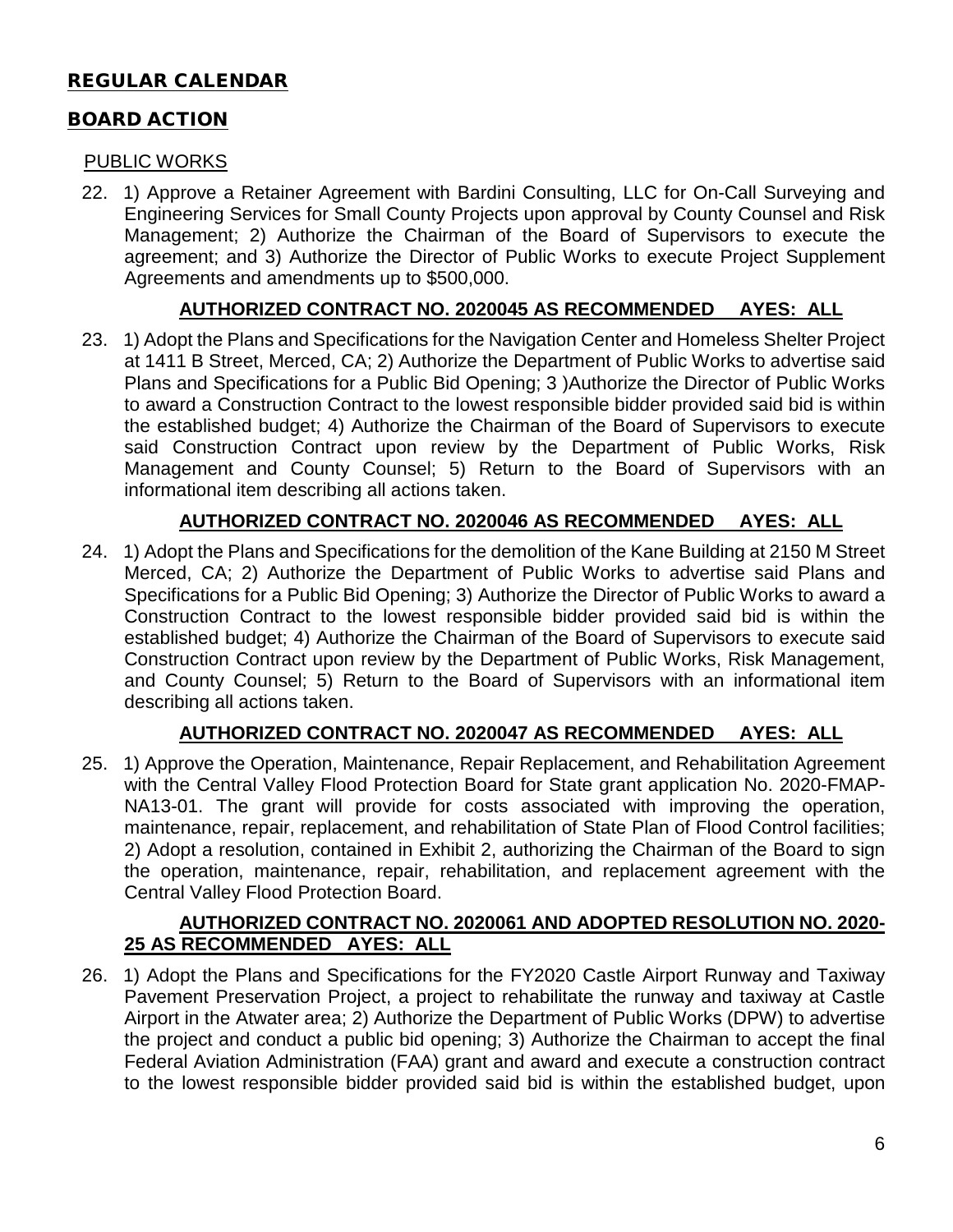# REGULAR CALENDAR

# BOARD ACTION

# PUBLIC WORKS

22. 1) Approve a Retainer Agreement with Bardini Consulting, LLC for On-Call Surveying and Engineering Services for Small County Projects upon approval by County Counsel and Risk Management; 2) Authorize the Chairman of the Board of Supervisors to execute the agreement; and 3) Authorize the Director of Public Works to execute Project Supplement Agreements and amendments up to \$500,000.

# **AUTHORIZED CONTRACT NO. 2020045 AS RECOMMENDED AYES: ALL**

23. 1) Adopt the Plans and Specifications for the Navigation Center and Homeless Shelter Project at 1411 B Street, Merced, CA; 2) Authorize the Department of Public Works to advertise said Plans and Specifications for a Public Bid Opening; 3 )Authorize the Director of Public Works to award a Construction Contract to the lowest responsible bidder provided said bid is within the established budget; 4) Authorize the Chairman of the Board of Supervisors to execute said Construction Contract upon review by the Department of Public Works, Risk Management and County Counsel; 5) Return to the Board of Supervisors with an informational item describing all actions taken.

# **AUTHORIZED CONTRACT NO. 2020046 AS RECOMMENDED AYES: ALL**

24. 1) Adopt the Plans and Specifications for the demolition of the Kane Building at 2150 M Street Merced, CA; 2) Authorize the Department of Public Works to advertise said Plans and Specifications for a Public Bid Opening; 3) Authorize the Director of Public Works to award a Construction Contract to the lowest responsible bidder provided said bid is within the established budget; 4) Authorize the Chairman of the Board of Supervisors to execute said Construction Contract upon review by the Department of Public Works, Risk Management, and County Counsel; 5) Return to the Board of Supervisors with an informational item describing all actions taken.

# **AUTHORIZED CONTRACT NO. 2020047 AS RECOMMENDED AYES: ALL**

25. 1) Approve the Operation, Maintenance, Repair Replacement, and Rehabilitation Agreement with the Central Valley Flood Protection Board for State grant application No. 2020-FMAP-NA13-01. The grant will provide for costs associated with improving the operation, maintenance, repair, replacement, and rehabilitation of State Plan of Flood Control facilities; 2) Adopt a resolution, contained in Exhibit 2, authorizing the Chairman of the Board to sign the operation, maintenance, repair, rehabilitation, and replacement agreement with the Central Valley Flood Protection Board.

# **AUTHORIZED CONTRACT NO. 2020061 AND ADOPTED RESOLUTION NO. 2020- 25 AS RECOMMENDED AYES: ALL**

26. 1) Adopt the Plans and Specifications for the FY2020 Castle Airport Runway and Taxiway Pavement Preservation Project, a project to rehabilitate the runway and taxiway at Castle Airport in the Atwater area; 2) Authorize the Department of Public Works (DPW) to advertise the project and conduct a public bid opening; 3) Authorize the Chairman to accept the final Federal Aviation Administration (FAA) grant and award and execute a construction contract to the lowest responsible bidder provided said bid is within the established budget, upon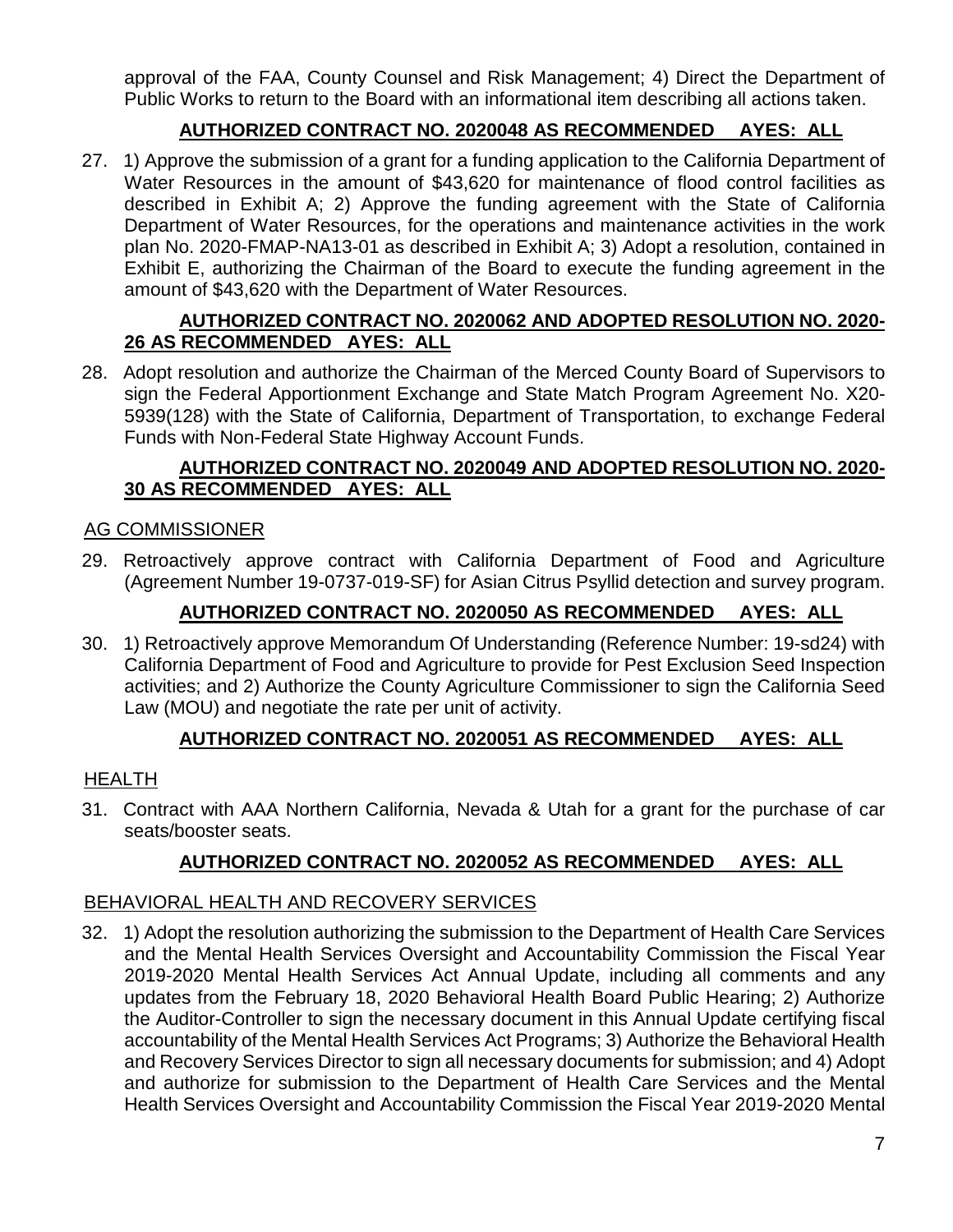approval of the FAA, County Counsel and Risk Management; 4) Direct the Department of Public Works to return to the Board with an informational item describing all actions taken.

# **AUTHORIZED CONTRACT NO. 2020048 AS RECOMMENDED AYES: ALL**

27. 1) Approve the submission of a grant for a funding application to the California Department of Water Resources in the amount of \$43,620 for maintenance of flood control facilities as described in Exhibit A; 2) Approve the funding agreement with the State of California Department of Water Resources, for the operations and maintenance activities in the work plan No. 2020-FMAP-NA13-01 as described in Exhibit A; 3) Adopt a resolution, contained in Exhibit E, authorizing the Chairman of the Board to execute the funding agreement in the amount of \$43,620 with the Department of Water Resources.

# **AUTHORIZED CONTRACT NO. 2020062 AND ADOPTED RESOLUTION NO. 2020- 26 AS RECOMMENDED AYES: ALL**

28. Adopt resolution and authorize the Chairman of the Merced County Board of Supervisors to sign the Federal Apportionment Exchange and State Match Program Agreement No. X20- 5939(128) with the State of California, Department of Transportation, to exchange Federal Funds with Non-Federal State Highway Account Funds.

# **AUTHORIZED CONTRACT NO. 2020049 AND ADOPTED RESOLUTION NO. 2020- 30 AS RECOMMENDED AYES: ALL**

# AG COMMISSIONER

29. Retroactively approve contract with California Department of Food and Agriculture (Agreement Number 19-0737-019-SF) for Asian Citrus Psyllid detection and survey program.

# **AUTHORIZED CONTRACT NO. 2020050 AS RECOMMENDED AYES: ALL**

30. 1) Retroactively approve Memorandum Of Understanding (Reference Number: 19-sd24) with California Department of Food and Agriculture to provide for Pest Exclusion Seed Inspection activities; and 2) Authorize the County Agriculture Commissioner to sign the California Seed Law (MOU) and negotiate the rate per unit of activity.

# **AUTHORIZED CONTRACT NO. 2020051 AS RECOMMENDED AYES: ALL**

#### **HEALTH**

31. Contract with AAA Northern California, Nevada & Utah for a grant for the purchase of car seats/booster seats.

# **AUTHORIZED CONTRACT NO. 2020052 AS RECOMMENDED AYES: ALL**

#### BEHAVIORAL HEALTH AND RECOVERY SERVICES

32. 1) Adopt the resolution authorizing the submission to the Department of Health Care Services and the Mental Health Services Oversight and Accountability Commission the Fiscal Year 2019-2020 Mental Health Services Act Annual Update, including all comments and any updates from the February 18, 2020 Behavioral Health Board Public Hearing; 2) Authorize the Auditor-Controller to sign the necessary document in this Annual Update certifying fiscal accountability of the Mental Health Services Act Programs; 3) Authorize the Behavioral Health and Recovery Services Director to sign all necessary documents for submission; and 4) Adopt and authorize for submission to the Department of Health Care Services and the Mental Health Services Oversight and Accountability Commission the Fiscal Year 2019-2020 Mental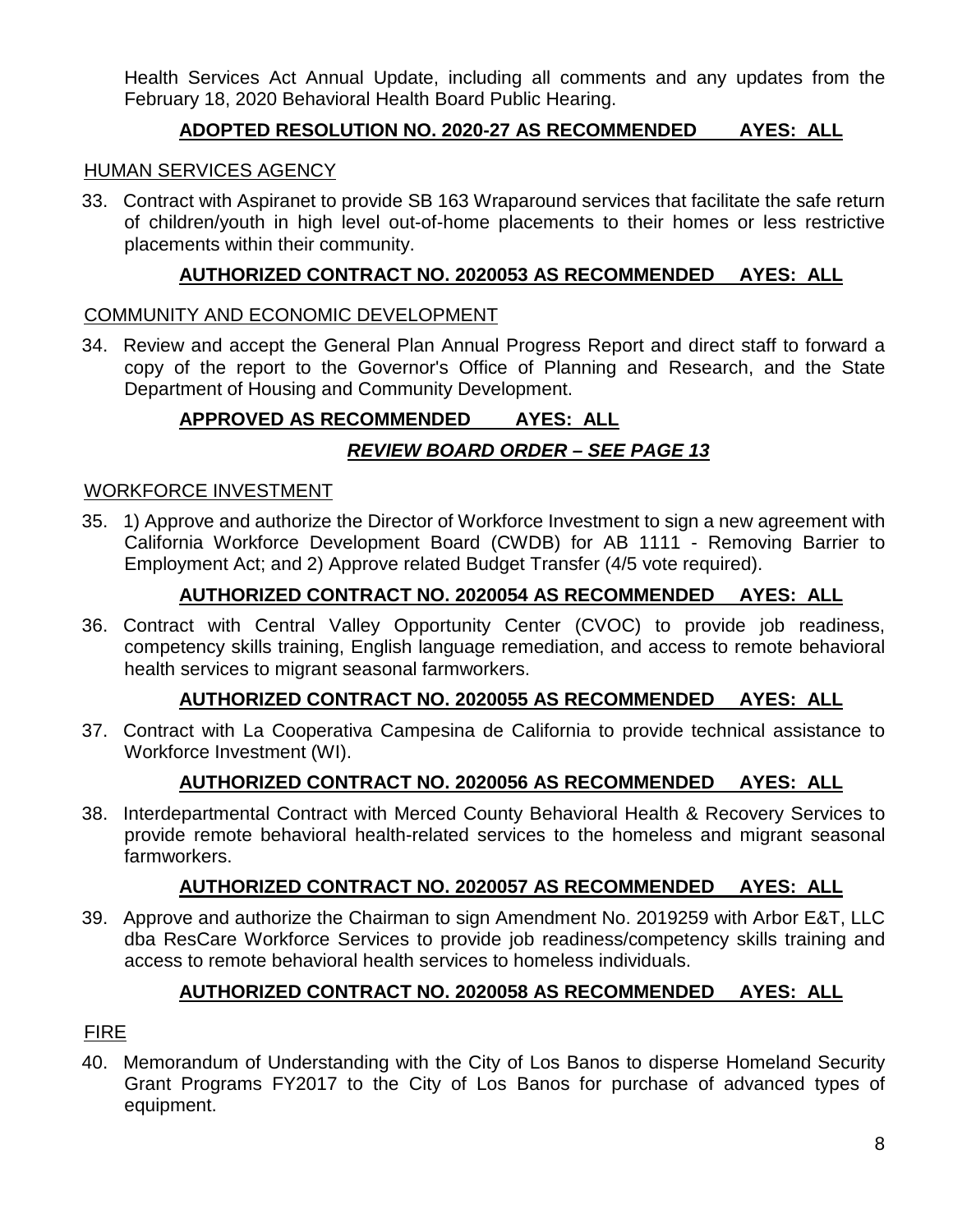Health Services Act Annual Update, including all comments and any updates from the February 18, 2020 Behavioral Health Board Public Hearing.

# **ADOPTED RESOLUTION NO. 2020-27 AS RECOMMENDED AYES: ALL**

### HUMAN SERVICES AGENCY

33. Contract with Aspiranet to provide SB 163 Wraparound services that facilitate the safe return of children/youth in high level out-of-home placements to their homes or less restrictive placements within their community.

# **AUTHORIZED CONTRACT NO. 2020053 AS RECOMMENDED AYES: ALL**

# COMMUNITY AND ECONOMIC DEVELOPMENT

34. Review and accept the General Plan Annual Progress Report and direct staff to forward a copy of the report to the Governor's Office of Planning and Research, and the State Department of Housing and Community Development.

# **APPROVED AS RECOMMENDED AYES: ALL**

# *REVIEW BOARD ORDER – SEE PAGE 13*

# WORKFORCE INVESTMENT

35. 1) Approve and authorize the Director of Workforce Investment to sign a new agreement with California Workforce Development Board (CWDB) for AB 1111 - Removing Barrier to Employment Act; and 2) Approve related Budget Transfer (4/5 vote required).

# **AUTHORIZED CONTRACT NO. 2020054 AS RECOMMENDED AYES: ALL**

36. Contract with Central Valley Opportunity Center (CVOC) to provide job readiness, competency skills training, English language remediation, and access to remote behavioral health services to migrant seasonal farmworkers.

# **AUTHORIZED CONTRACT NO. 2020055 AS RECOMMENDED AYES: ALL**

37. Contract with La Cooperativa Campesina de California to provide technical assistance to Workforce Investment (WI).

# **AUTHORIZED CONTRACT NO. 2020056 AS RECOMMENDED AYES: ALL**

38. Interdepartmental Contract with Merced County Behavioral Health & Recovery Services to provide remote behavioral health-related services to the homeless and migrant seasonal farmworkers.

# **AUTHORIZED CONTRACT NO. 2020057 AS RECOMMENDED AYES: ALL**

39. Approve and authorize the Chairman to sign Amendment No. 2019259 with Arbor E&T, LLC dba ResCare Workforce Services to provide job readiness/competency skills training and access to remote behavioral health services to homeless individuals.

# **AUTHORIZED CONTRACT NO. 2020058 AS RECOMMENDED AYES: ALL**

# FIRE

40. Memorandum of Understanding with the City of Los Banos to disperse Homeland Security Grant Programs FY2017 to the City of Los Banos for purchase of advanced types of equipment.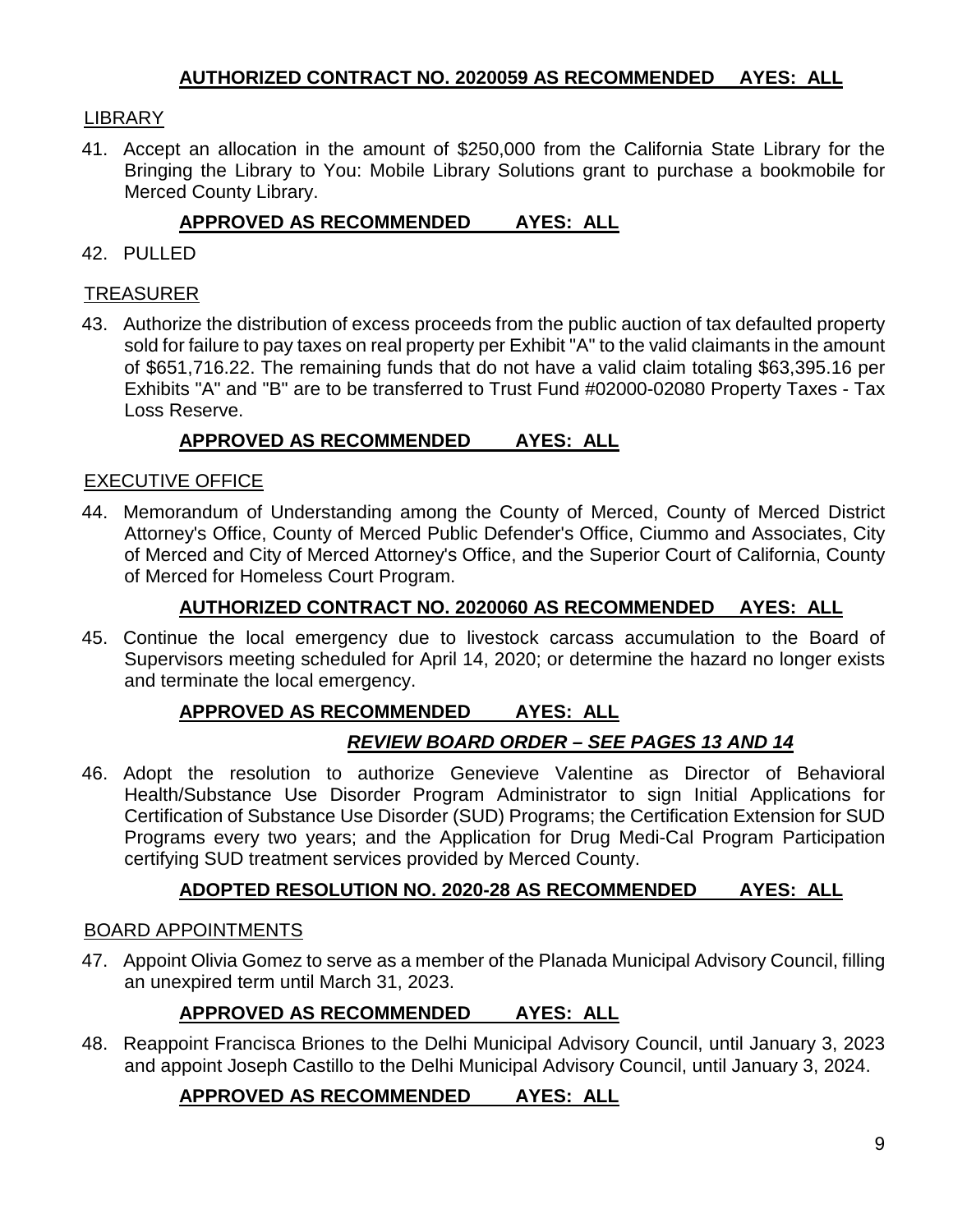# **AUTHORIZED CONTRACT NO. 2020059 AS RECOMMENDED AYES: ALL**

# LIBRARY

41. Accept an allocation in the amount of \$250,000 from the California State Library for the Bringing the Library to You: Mobile Library Solutions grant to purchase a bookmobile for Merced County Library.

# **APPROVED AS RECOMMENDED AYES: ALL**

42. PULLED

### **TREASURER**

43. Authorize the distribution of excess proceeds from the public auction of tax defaulted property sold for failure to pay taxes on real property per Exhibit "A" to the valid claimants in the amount of \$651,716.22. The remaining funds that do not have a valid claim totaling \$63,395.16 per Exhibits "A" and "B" are to be transferred to Trust Fund #02000-02080 Property Taxes - Tax Loss Reserve.

# **APPROVED AS RECOMMENDED AYES: ALL**

#### EXECUTIVE OFFICE

44. Memorandum of Understanding among the County of Merced, County of Merced District Attorney's Office, County of Merced Public Defender's Office, Ciummo and Associates, City of Merced and City of Merced Attorney's Office, and the Superior Court of California, County of Merced for Homeless Court Program.

# **AUTHORIZED CONTRACT NO. 2020060 AS RECOMMENDED AYES: ALL**

45. Continue the local emergency due to livestock carcass accumulation to the Board of Supervisors meeting scheduled for April 14, 2020; or determine the hazard no longer exists and terminate the local emergency.

### **APPROVED AS RECOMMENDED AYES: ALL**

# *REVIEW BOARD ORDER – SEE PAGES 13 AND 14*

46. Adopt the resolution to authorize Genevieve Valentine as Director of Behavioral Health/Substance Use Disorder Program Administrator to sign Initial Applications for Certification of Substance Use Disorder (SUD) Programs; the Certification Extension for SUD Programs every two years; and the Application for Drug Medi-Cal Program Participation certifying SUD treatment services provided by Merced County.

# **ADOPTED RESOLUTION NO. 2020-28 AS RECOMMENDED AYES: ALL**

#### BOARD APPOINTMENTS

47. Appoint Olivia Gomez to serve as a member of the Planada Municipal Advisory Council, filling an unexpired term until March 31, 2023.

# **APPROVED AS RECOMMENDED AYES: ALL**

48. Reappoint Francisca Briones to the Delhi Municipal Advisory Council, until January 3, 2023 and appoint Joseph Castillo to the Delhi Municipal Advisory Council, until January 3, 2024.

# **APPROVED AS RECOMMENDED AYES: ALL**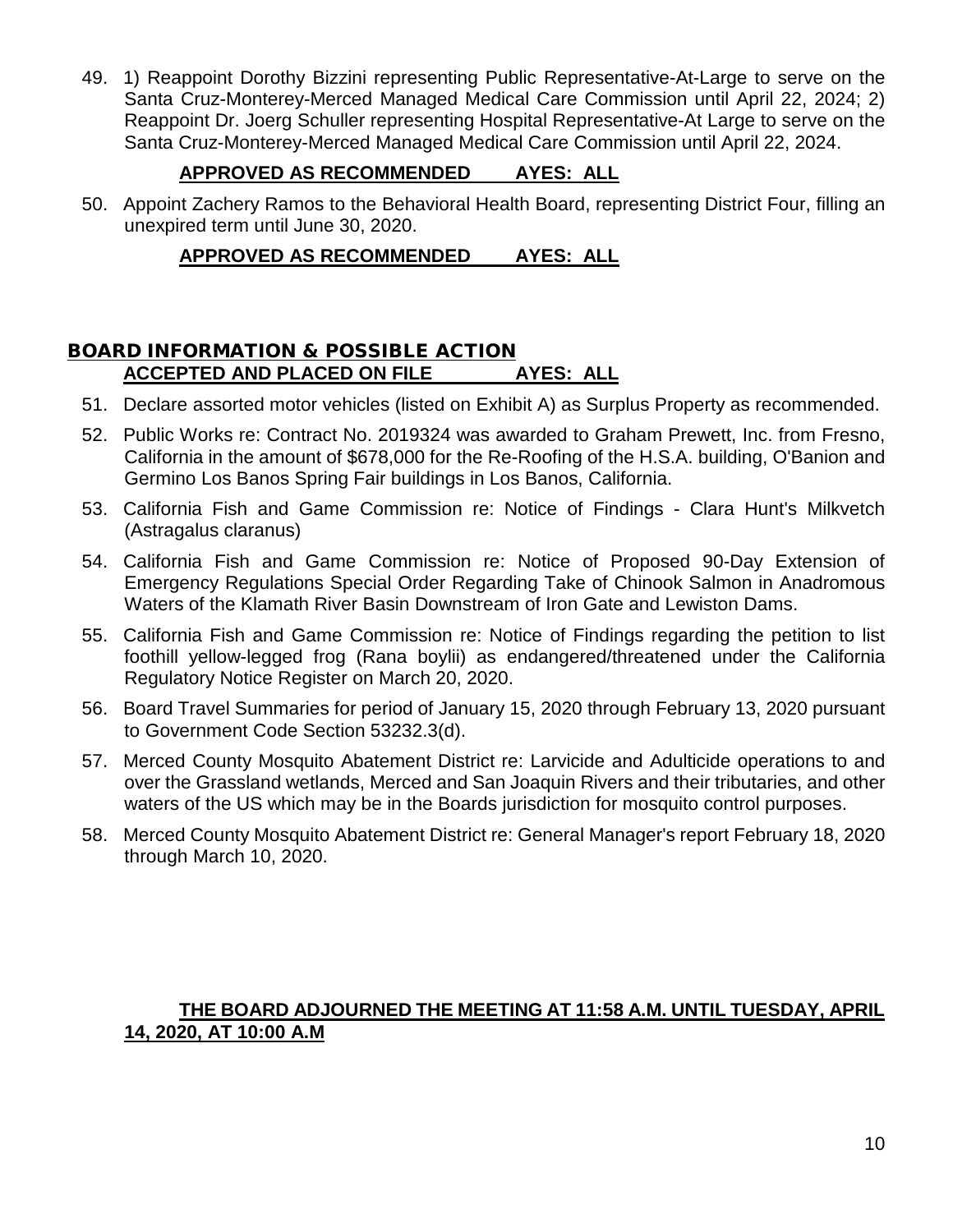49. 1) Reappoint Dorothy Bizzini representing Public Representative-At-Large to serve on the Santa Cruz-Monterey-Merced Managed Medical Care Commission until April 22, 2024; 2) Reappoint Dr. Joerg Schuller representing Hospital Representative-At Large to serve on the Santa Cruz-Monterey-Merced Managed Medical Care Commission until April 22, 2024.

# **APPROVED AS RECOMMENDED AYES: ALL**

50. Appoint Zachery Ramos to the Behavioral Health Board, representing District Four, filling an unexpired term until June 30, 2020.

# **APPROVED AS RECOMMENDED AYES: ALL**

# BOARD INFORMATION & POSSIBLE ACTION **ACCEPTED AND PLACED ON FILE AYES: ALL**

- 51. Declare assorted motor vehicles (listed on Exhibit A) as Surplus Property as recommended.
- 52. Public Works re: Contract No. 2019324 was awarded to Graham Prewett, Inc. from Fresno, California in the amount of \$678,000 for the Re-Roofing of the H.S.A. building, O'Banion and Germino Los Banos Spring Fair buildings in Los Banos, California.
- 53. California Fish and Game Commission re: Notice of Findings Clara Hunt's Milkvetch (Astragalus claranus)
- 54. California Fish and Game Commission re: Notice of Proposed 90-Day Extension of Emergency Regulations Special Order Regarding Take of Chinook Salmon in Anadromous Waters of the Klamath River Basin Downstream of Iron Gate and Lewiston Dams.
- 55. California Fish and Game Commission re: Notice of Findings regarding the petition to list foothill yellow-legged frog (Rana boylii) as endangered/threatened under the California Regulatory Notice Register on March 20, 2020.
- 56. Board Travel Summaries for period of January 15, 2020 through February 13, 2020 pursuant to Government Code Section 53232.3(d).
- 57. Merced County Mosquito Abatement District re: Larvicide and Adulticide operations to and over the Grassland wetlands, Merced and San Joaquin Rivers and their tributaries, and other waters of the US which may be in the Boards jurisdiction for mosquito control purposes.
- 58. Merced County Mosquito Abatement District re: General Manager's report February 18, 2020 through March 10, 2020.

# **THE BOARD ADJOURNED THE MEETING AT 11:58 A.M. UNTIL TUESDAY, APRIL 14, 2020, AT 10:00 A.M**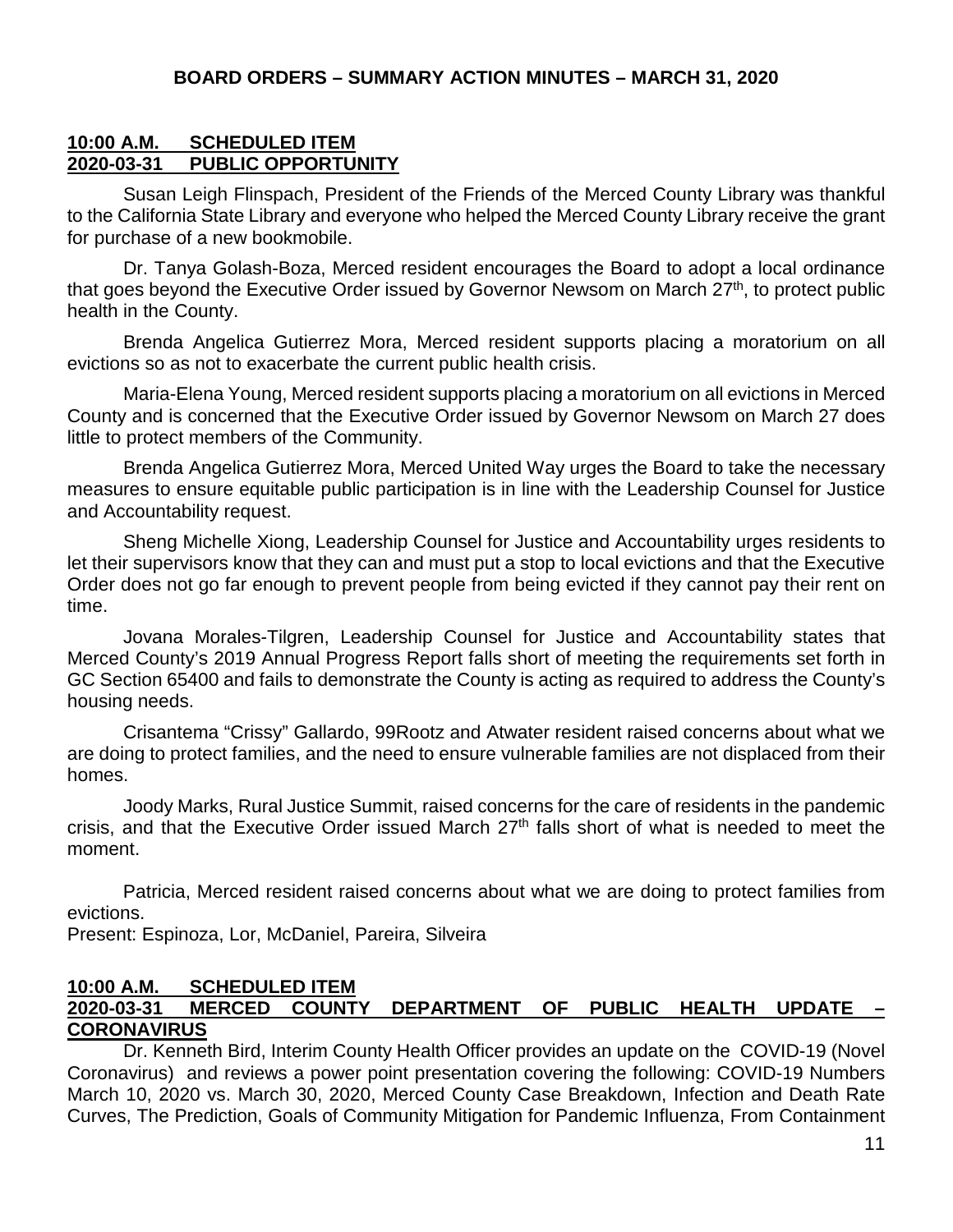#### **10:00 A.M. SCHEDULED ITEM 2020-03-31 PUBLIC OPPORTUNITY**

Susan Leigh Flinspach, President of the Friends of the Merced County Library was thankful to the California State Library and everyone who helped the Merced County Library receive the grant for purchase of a new bookmobile.

Dr. Tanya Golash-Boza, Merced resident encourages the Board to adopt a local ordinance that goes beyond the Executive Order issued by Governor Newsom on March  $27<sup>th</sup>$ , to protect public health in the County.

Brenda Angelica Gutierrez Mora, Merced resident supports placing a moratorium on all evictions so as not to exacerbate the current public health crisis.

Maria-Elena Young, Merced resident supports placing a moratorium on all evictions in Merced County and is concerned that the Executive Order issued by Governor Newsom on March 27 does little to protect members of the Community.

Brenda Angelica Gutierrez Mora, Merced United Way urges the Board to take the necessary measures to ensure equitable public participation is in line with the Leadership Counsel for Justice and Accountability request.

Sheng Michelle Xiong, Leadership Counsel for Justice and Accountability urges residents to let their supervisors know that they can and must put a stop to local evictions and that the Executive Order does not go far enough to prevent people from being evicted if they cannot pay their rent on time.

Jovana Morales-Tilgren, Leadership Counsel for Justice and Accountability states that Merced County's 2019 Annual Progress Report falls short of meeting the requirements set forth in GC Section 65400 and fails to demonstrate the County is acting as required to address the County's housing needs.

Crisantema "Crissy" Gallardo, 99Rootz and Atwater resident raised concerns about what we are doing to protect families, and the need to ensure vulnerable families are not displaced from their homes.

Joody Marks, Rural Justice Summit, raised concerns for the care of residents in the pandemic crisis, and that the Executive Order issued March 27th falls short of what is needed to meet the moment.

Patricia, Merced resident raised concerns about what we are doing to protect families from evictions.

Present: Espinoza, Lor, McDaniel, Pareira, Silveira

# **10:00 A.M. SCHEDULED ITEM**

# **2020-03-31 MERCED COUNTY DEPARTMENT OF PUBLIC HEALTH UPDATE – CORONAVIRUS**

Dr. Kenneth Bird, Interim County Health Officer provides an update on the COVID-19 (Novel Coronavirus) and reviews a power point presentation covering the following: COVID-19 Numbers March 10, 2020 vs. March 30, 2020, Merced County Case Breakdown, Infection and Death Rate Curves, The Prediction, Goals of Community Mitigation for Pandemic Influenza, From Containment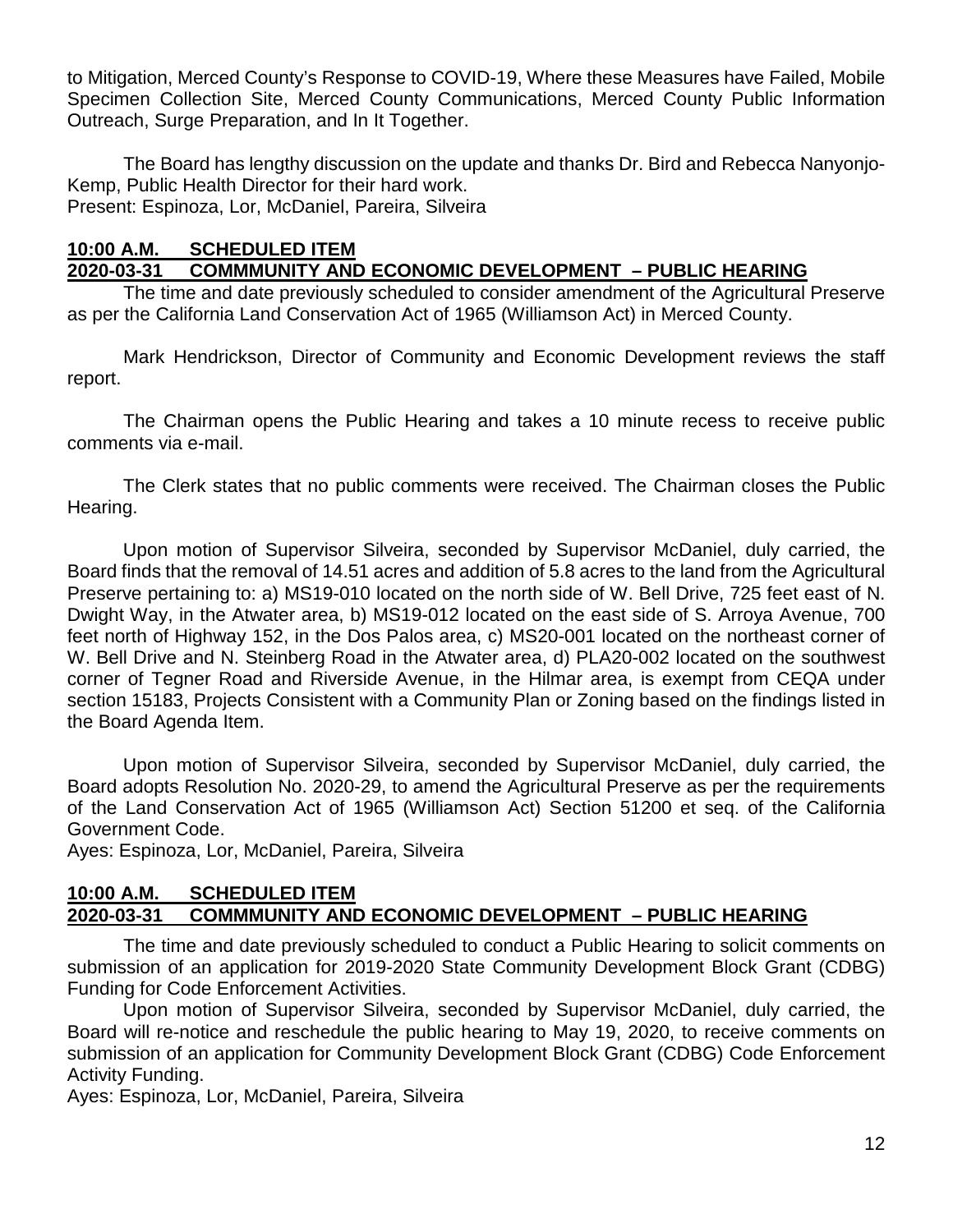to Mitigation, Merced County's Response to COVID-19, Where these Measures have Failed, Mobile Specimen Collection Site, Merced County Communications, Merced County Public Information Outreach, Surge Preparation, and In It Together.

The Board has lengthy discussion on the update and thanks Dr. Bird and Rebecca Nanyonjo-Kemp, Public Health Director for their hard work. Present: Espinoza, Lor, McDaniel, Pareira, Silveira

# **10:00 A.M. SCHEDULED ITEM**

### **2020-03-31 COMMMUNITY AND ECONOMIC DEVELOPMENT – PUBLIC HEARING**

The time and date previously scheduled to consider amendment of the Agricultural Preserve as per the California Land Conservation Act of 1965 (Williamson Act) in Merced County.

Mark Hendrickson, Director of Community and Economic Development reviews the staff report.

The Chairman opens the Public Hearing and takes a 10 minute recess to receive public comments via e-mail.

The Clerk states that no public comments were received. The Chairman closes the Public Hearing.

Upon motion of Supervisor Silveira, seconded by Supervisor McDaniel, duly carried, the Board finds that the removal of 14.51 acres and addition of 5.8 acres to the land from the Agricultural Preserve pertaining to: a) MS19-010 located on the north side of W. Bell Drive, 725 feet east of N. Dwight Way, in the Atwater area, b) MS19-012 located on the east side of S. Arroya Avenue, 700 feet north of Highway 152, in the Dos Palos area, c) MS20-001 located on the northeast corner of W. Bell Drive and N. Steinberg Road in the Atwater area, d) PLA20-002 located on the southwest corner of Tegner Road and Riverside Avenue, in the Hilmar area, is exempt from CEQA under section 15183, Projects Consistent with a Community Plan or Zoning based on the findings listed in the Board Agenda Item.

Upon motion of Supervisor Silveira, seconded by Supervisor McDaniel, duly carried, the Board adopts Resolution No. 2020-29, to amend the Agricultural Preserve as per the requirements of the Land Conservation Act of 1965 (Williamson Act) Section 51200 et seq. of the California Government Code.

Ayes: Espinoza, Lor, McDaniel, Pareira, Silveira

#### **10:00 A.M. SCHEDULED ITEM 2020-03-31 COMMMUNITY AND ECONOMIC DEVELOPMENT – PUBLIC HEARING**

The time and date previously scheduled to conduct a Public Hearing to solicit comments on submission of an application for 2019-2020 State Community Development Block Grant (CDBG) Funding for Code Enforcement Activities.

Upon motion of Supervisor Silveira, seconded by Supervisor McDaniel, duly carried, the Board will re-notice and reschedule the public hearing to May 19, 2020, to receive comments on submission of an application for Community Development Block Grant (CDBG) Code Enforcement Activity Funding.

Ayes: Espinoza, Lor, McDaniel, Pareira, Silveira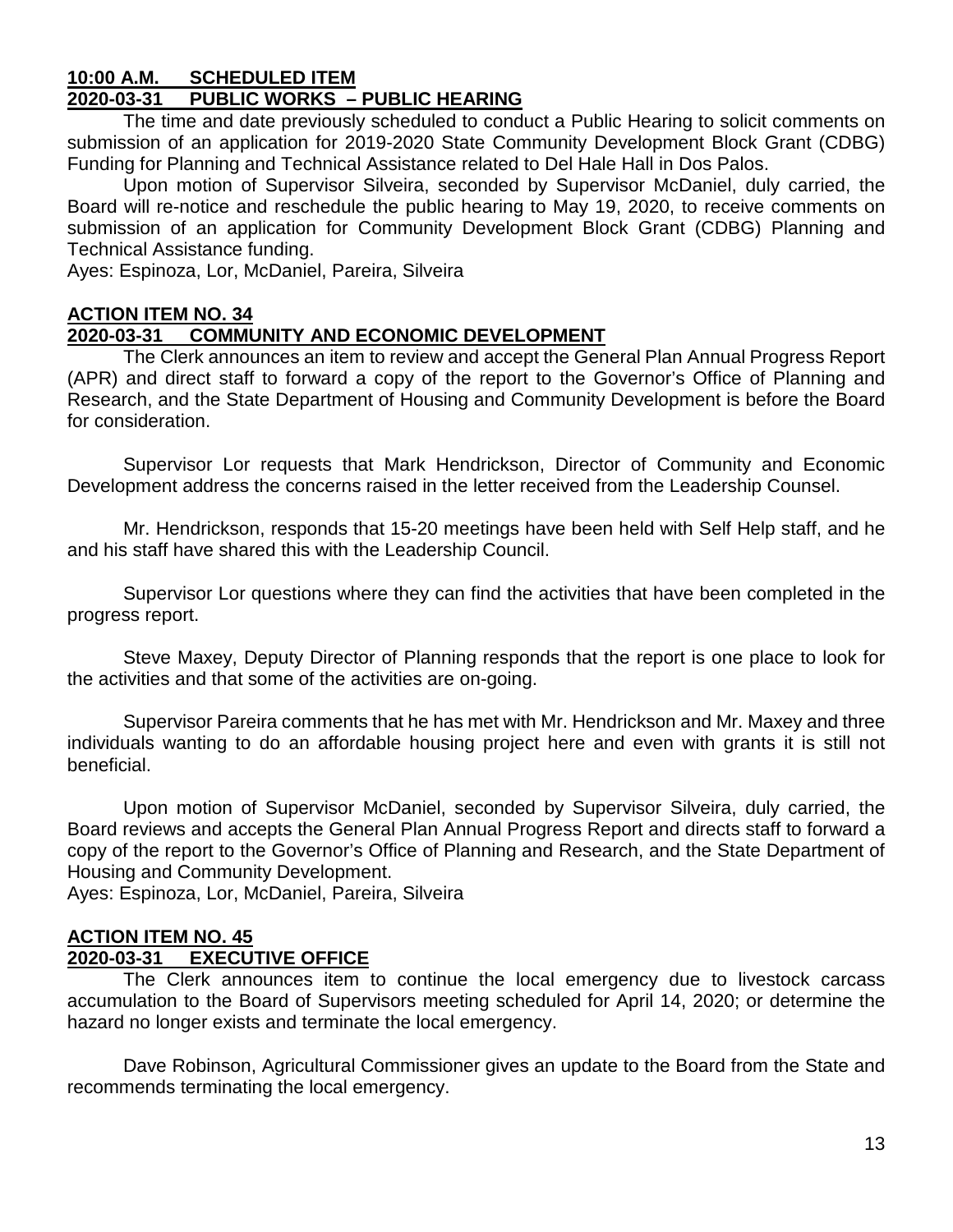# **10:00 A.M. SCHEDULED ITEM**

#### **2020-03-31 PUBLIC WORKS – PUBLIC HEARING**

The time and date previously scheduled to conduct a Public Hearing to solicit comments on submission of an application for 2019-2020 State Community Development Block Grant (CDBG) Funding for Planning and Technical Assistance related to Del Hale Hall in Dos Palos.

Upon motion of Supervisor Silveira, seconded by Supervisor McDaniel, duly carried, the Board will re-notice and reschedule the public hearing to May 19, 2020, to receive comments on submission of an application for Community Development Block Grant (CDBG) Planning and Technical Assistance funding.

Ayes: Espinoza, Lor, McDaniel, Pareira, Silveira

# **ACTION ITEM NO. 34**

# **2020-03-31 COMMUNITY AND ECONOMIC DEVELOPMENT**

The Clerk announces an item to review and accept the General Plan Annual Progress Report (APR) and direct staff to forward a copy of the report to the Governor's Office of Planning and Research, and the State Department of Housing and Community Development is before the Board for consideration.

Supervisor Lor requests that Mark Hendrickson, Director of Community and Economic Development address the concerns raised in the letter received from the Leadership Counsel.

Mr. Hendrickson, responds that 15-20 meetings have been held with Self Help staff, and he and his staff have shared this with the Leadership Council.

Supervisor Lor questions where they can find the activities that have been completed in the progress report.

Steve Maxey, Deputy Director of Planning responds that the report is one place to look for the activities and that some of the activities are on-going.

Supervisor Pareira comments that he has met with Mr. Hendrickson and Mr. Maxey and three individuals wanting to do an affordable housing project here and even with grants it is still not beneficial.

Upon motion of Supervisor McDaniel, seconded by Supervisor Silveira, duly carried, the Board reviews and accepts the General Plan Annual Progress Report and directs staff to forward a copy of the report to the Governor's Office of Planning and Research, and the State Department of Housing and Community Development.

Ayes: Espinoza, Lor, McDaniel, Pareira, Silveira

#### **ACTION ITEM NO. 45 2020-03-31 EXECUTIVE OFFICE**

The Clerk announces item to continue the local emergency due to livestock carcass accumulation to the Board of Supervisors meeting scheduled for April 14, 2020; or determine the hazard no longer exists and terminate the local emergency.

Dave Robinson, Agricultural Commissioner gives an update to the Board from the State and recommends terminating the local emergency.